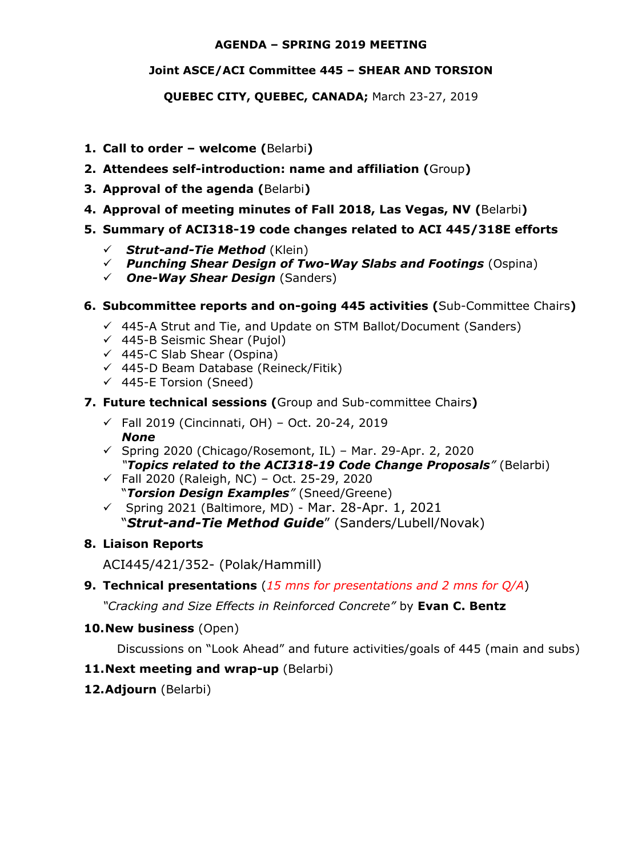#### **AGENDA – SPRING 2019 MEETING**

#### **Joint ASCE/ACI Committee 445 – SHEAR AND TORSION**

**QUEBEC CITY, QUEBEC, CANADA;** March 23-27, 2019

- **1. Call to order – welcome (**Belarbi**)**
- **2. Attendees self-introduction: name and affiliation (**Group**)**
- **3. Approval of the agenda (**Belarbi**)**
- **4. Approval of meeting minutes of Fall 2018, Las Vegas, NV (**Belarbi**)**
- **5. Summary of ACI318-19 code changes related to ACI 445/318E efforts**
	- *Strut-and-Tie Method* (Klein)
	- *Punching Shear Design of Two-Way Slabs and Footings* (Ospina)
	- *One-Way Shear Design* (Sanders)

#### **6. Subcommittee reports and on-going 445 activities (**Sub-Committee Chairs**)**

- $\checkmark$  445-A Strut and Tie, and Update on STM Ballot/Document (Sanders)
- $\checkmark$  445-B Seismic Shear (Pujol)
- $\checkmark$  445-C Slab Shear (Ospina)
- $(445-D)$  Beam Database (Reineck/Fitik)
- $\checkmark$  445-E Torsion (Sneed)
- **7. Future technical sessions (**Group and Sub-committee Chairs**)** 
	- $\checkmark$  Fall 2019 (Cincinnati, OH) Oct. 20-24, 2019 *None*
	- $\checkmark$  Spring 2020 (Chicago/Rosemont, IL) Mar. 29-Apr. 2, 2020 *"Topics related to the ACI318-19 Code Change Proposals"* (Belarbi)
	- $\checkmark$  Fall 2020 (Raleigh, NC) Oct. 25-29, 2020 "*Torsion Design Examples"* (Sneed/Greene)
	- $\checkmark$  Spring 2021 (Baltimore, MD) Mar. 28-Apr. 1, 2021 "*Strut-and-Tie Method Guide*" (Sanders/Lubell/Novak)

#### **8. Liaison Reports**

ACI445/421/352- (Polak/Hammill)

**9. Technical presentations** (*15 mns for presentations and 2 mns for Q/A*)

*"Cracking and Size Effects in Reinforced Concrete"* by **Evan C. Bentz**

#### **10.New business** (Open)

Discussions on "Look Ahead" and future activities/goals of 445 (main and subs)

#### **11.Next meeting and wrap-up** (Belarbi)

**12.Adjourn** (Belarbi)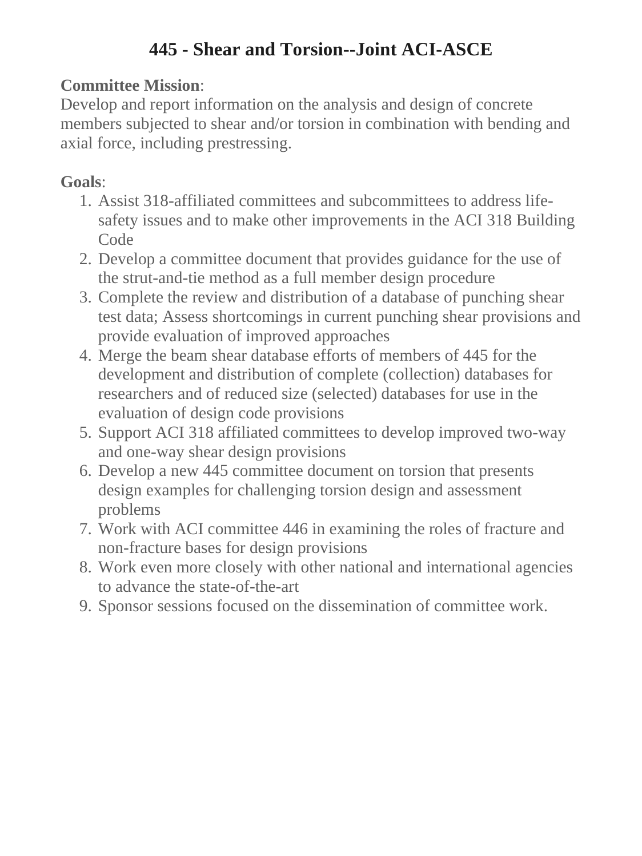# **445 - Shear and Torsion--Joint ACI-ASCE**

## **Committee Mission**:

Develop and report information on the analysis and design of concrete members subjected to shear and/or torsion in combination with bending and axial force, including prestressing.

- 1. Assist 318-affiliated committees and subcommittees to address lifesafety issues and to make other improvements in the ACI 318 Building **Code**
- 2. Develop a committee document that provides guidance for the use of the strut-and-tie method as a full member design procedure
- 3. Complete the review and distribution of a database of punching shear test data; Assess shortcomings in current punching shear provisions and provide evaluation of improved approaches
- 4. Merge the beam shear database efforts of members of 445 for the development and distribution of complete (collection) databases for researchers and of reduced size (selected) databases for use in the evaluation of design code provisions
- 5. Support ACI 318 affiliated committees to develop improved two-way and one-way shear design provisions
- 6. Develop a new 445 committee document on torsion that presents design examples for challenging torsion design and assessment problems
- 7. Work with ACI committee 446 in examining the roles of fracture and non-fracture bases for design provisions
- 8. Work even more closely with other national and international agencies to advance the state-of-the-art
- 9. Sponsor sessions focused on the dissemination of committee work.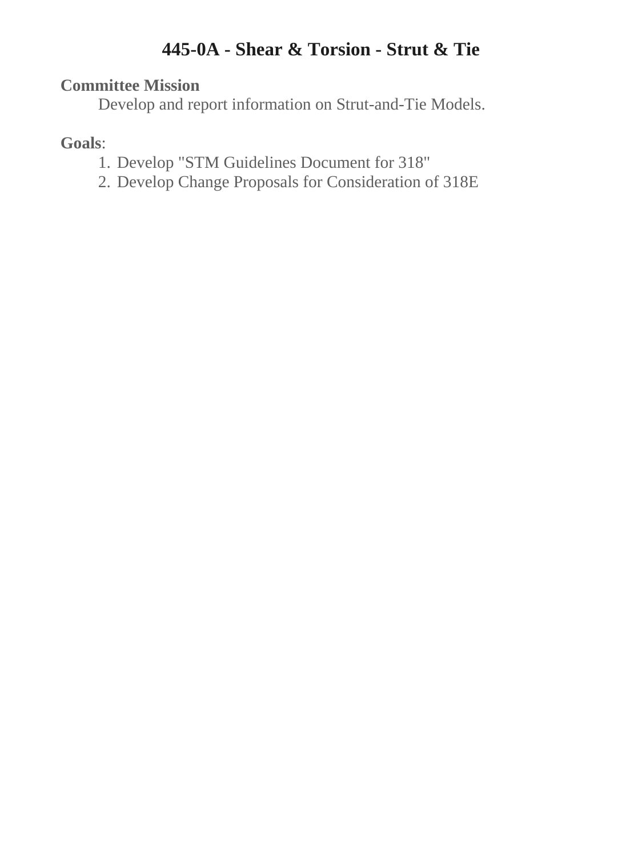# **445-0A - Shear & Torsion - Strut & Tie**

## **Committee Mission**

Develop and report information on Strut-and-Tie Models.

- 1. Develop "STM Guidelines Document for 318"
- 2. Develop Change Proposals for Consideration of 318E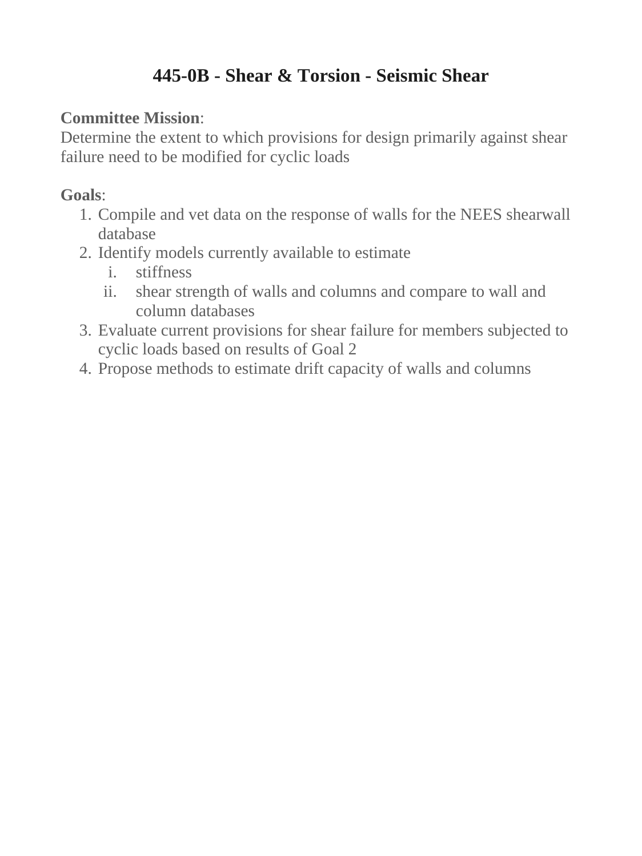## **445-0B - Shear & Torsion - Seismic Shear**

## **Committee Mission**:

Determine the extent to which provisions for design primarily against shear failure need to be modified for cyclic loads

- 1. Compile and vet data on the response of walls for the NEES shearwall database
- 2. Identify models currently available to estimate
	- i. stiffness
	- ii. shear strength of walls and columns and compare to wall and column databases
- 3. Evaluate current provisions for shear failure for members subjected to cyclic loads based on results of Goal 2
- 4. Propose methods to estimate drift capacity of walls and columns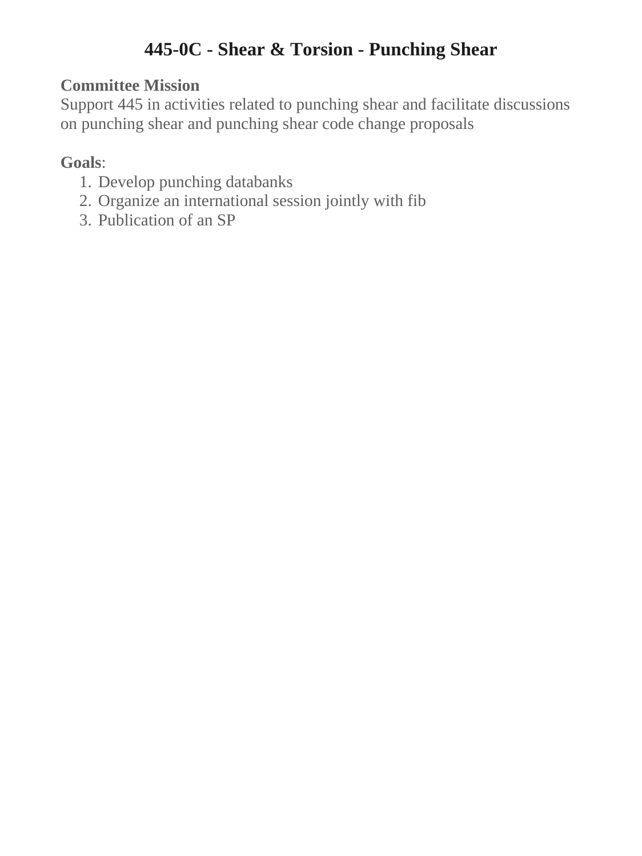# **445-0C - Shear & Torsion - Punching Shear**

## **Committee Mission**

Support 445 in activities related to punching shear and facilitate discussions on punching shear and punching shear code change proposals

- 1. Develop punching databanks
- 2. Organize an international session jointly with fib
- 3. Publication of an SP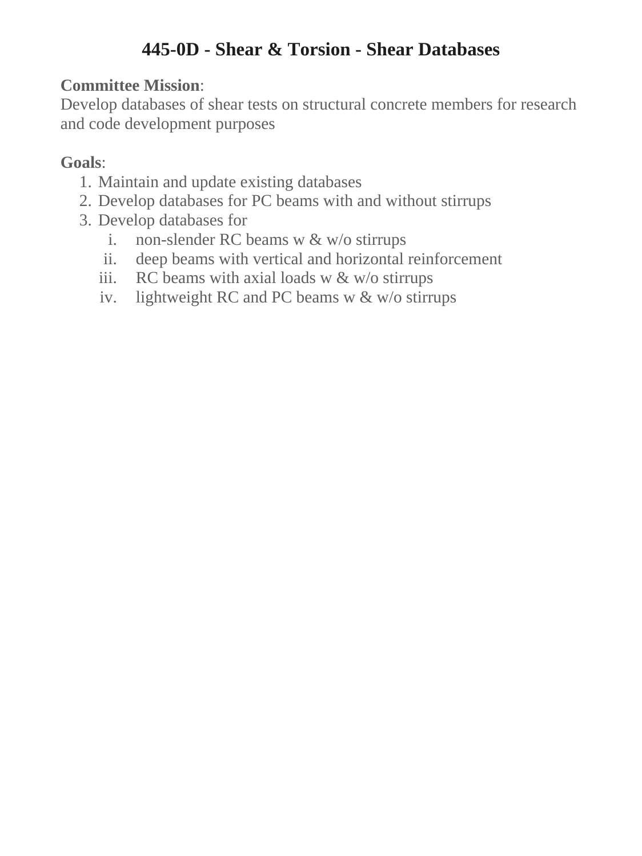# **445-0D - Shear & Torsion - Shear Databases**

## **Committee Mission**:

Develop databases of shear tests on structural concrete members for research and code development purposes

- 1. Maintain and update existing databases
- 2. Develop databases for PC beams with and without stirrups
- 3. Develop databases for
	- i. non-slender RC beams w & w/o stirrups
	- ii. deep beams with vertical and horizontal reinforcement
	- iii. RC beams with axial loads  $w \& w/o$  stirrups
	- iv. lightweight RC and PC beams w & w/o stirrups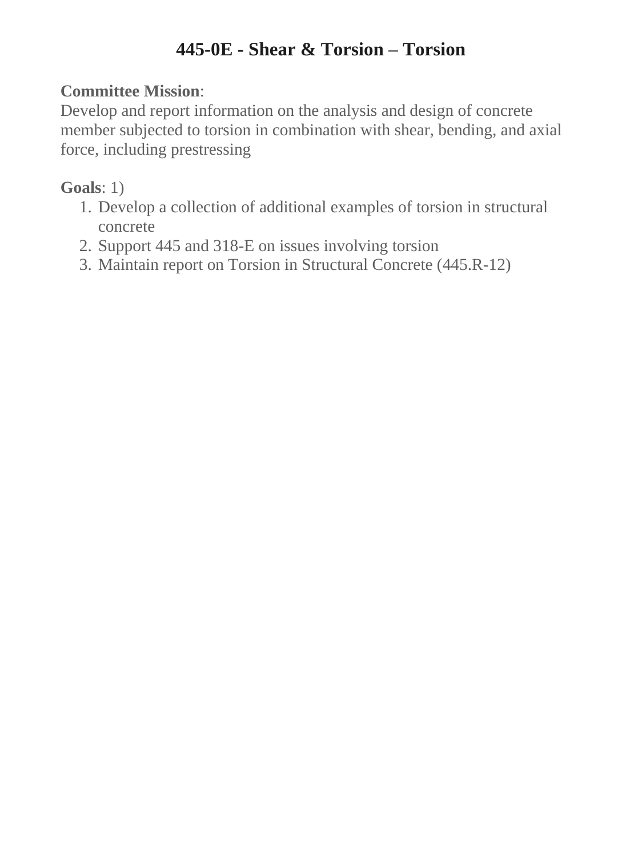## **445-0E - Shear & Torsion – Torsion**

### **Committee Mission**:

Develop and report information on the analysis and design of concrete member subjected to torsion in combination with shear, bending, and axial force, including prestressing

## **Goals**: 1)

- 1. Develop a collection of additional examples of torsion in structural concrete
- 2. Support 445 and 318-E on issues involving torsion
- 3. Maintain report on Torsion in Structural Concrete (445.R-12)